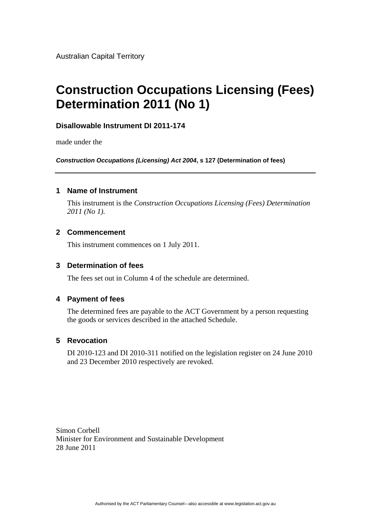Australian Capital Territory

# **Construction Occupations Licensing (Fees) Determination 2011 (No 1)**

## **Disallowable Instrument DI 2011-174**

made under the

*Construction Occupations (Licensing) Act 2004***, s 127 (Determination of fees)** 

#### **1 Name of Instrument**

This instrument is the *Construction Occupations Licensing (Fees) Determination 2011 (No 1).* 

#### **2 Commencement**

This instrument commences on 1 July 2011.

#### **3 Determination of fees**

The fees set out in Column 4 of the schedule are determined.

#### **4 Payment of fees**

The determined fees are payable to the ACT Government by a person requesting the goods or services described in the attached Schedule.

### **5 Revocation**

DI 2010-123 and DI 2010-311 notified on the legislation register on 24 June 2010 and 23 December 2010 respectively are revoked.

Simon Corbell Minister for Environment and Sustainable Development 28 June 2011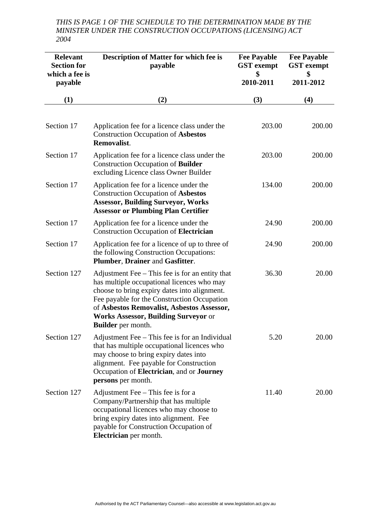*THIS IS PAGE 1 OF THE SCHEDULE TO THE DETERMINATION MADE BY THE MINISTER UNDER THE CONSTRUCTION OCCUPATIONS (LICENSING) ACT 2004* 

| <b>Relevant</b><br><b>Section for</b><br>which a fee is<br>payable | <b>Description of Matter for which fee is</b><br>payable                                                                                                                                                                                                                                                               | <b>Fee Payable</b><br><b>GST</b> exempt<br>\$<br>2010-2011 | <b>Fee Payable</b><br><b>GST</b> exempt<br>\$<br>2011-2012 |
|--------------------------------------------------------------------|------------------------------------------------------------------------------------------------------------------------------------------------------------------------------------------------------------------------------------------------------------------------------------------------------------------------|------------------------------------------------------------|------------------------------------------------------------|
| (1)                                                                | (2)                                                                                                                                                                                                                                                                                                                    | (3)                                                        | (4)                                                        |
| Section 17                                                         | Application fee for a licence class under the<br><b>Construction Occupation of Asbestos</b><br>Removalist.                                                                                                                                                                                                             | 203.00                                                     | 200.00                                                     |
| Section 17                                                         | Application fee for a licence class under the<br><b>Construction Occupation of Builder</b><br>excluding Licence class Owner Builder                                                                                                                                                                                    | 203.00                                                     | 200.00                                                     |
| Section 17                                                         | Application fee for a licence under the<br><b>Construction Occupation of Asbestos</b><br><b>Assessor, Building Surveyor, Works</b><br><b>Assessor or Plumbing Plan Certifier</b>                                                                                                                                       | 134.00                                                     | 200.00                                                     |
| Section 17                                                         | Application fee for a licence under the<br><b>Construction Occupation of Electrician</b>                                                                                                                                                                                                                               | 24.90                                                      | 200.00                                                     |
| Section 17                                                         | Application fee for a licence of up to three of<br>the following Construction Occupations:<br>Plumber, Drainer and Gasfitter.                                                                                                                                                                                          | 24.90                                                      | 200.00                                                     |
| Section 127                                                        | Adjustment Fee – This fee is for an entity that<br>has multiple occupational licences who may<br>choose to bring expiry dates into alignment.<br>Fee payable for the Construction Occupation<br>of Asbestos Removalist, Asbestos Assessor,<br><b>Works Assessor, Building Surveyor or</b><br><b>Builder</b> per month. | 36.30                                                      | 20.00                                                      |
| Section 127                                                        | Adjustment Fee – This fee is for an Individual<br>that has multiple occupational licences who<br>may choose to bring expiry dates into<br>alignment. Fee payable for Construction<br>Occupation of Electrician, and or Journey<br>persons per month.                                                                   | 5.20                                                       | 20.00                                                      |
| Section 127                                                        | Adjustment Fee $-$ This fee is for a<br>Company/Partnership that has multiple<br>occupational licences who may choose to<br>bring expiry dates into alignment. Fee<br>payable for Construction Occupation of<br>Electrician per month.                                                                                 | 11.40                                                      | 20.00                                                      |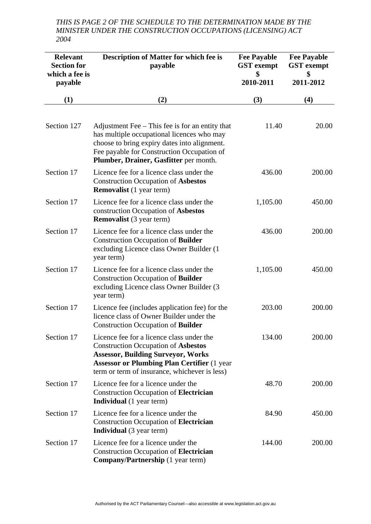*THIS IS PAGE 2 OF THE SCHEDULE TO THE DETERMINATION MADE BY THE MINISTER UNDER THE CONSTRUCTION OCCUPATIONS (LICENSING) ACT 2004* 

| <b>Relevant</b><br><b>Section for</b><br>which a fee is<br>payable | <b>Description of Matter for which fee is</b><br>payable                                                                                                                                                                                    | <b>Fee Payable</b><br><b>GST</b> exempt<br>2010-2011 | <b>Fee Payable</b><br><b>GST</b> exempt<br>\$<br>2011-2012 |
|--------------------------------------------------------------------|---------------------------------------------------------------------------------------------------------------------------------------------------------------------------------------------------------------------------------------------|------------------------------------------------------|------------------------------------------------------------|
| (1)                                                                | (2)                                                                                                                                                                                                                                         | (3)                                                  | (4)                                                        |
|                                                                    |                                                                                                                                                                                                                                             |                                                      |                                                            |
| Section 127                                                        | Adjustment Fee $-$ This fee is for an entity that<br>has multiple occupational licences who may<br>choose to bring expiry dates into alignment.<br>Fee payable for Construction Occupation of<br>Plumber, Drainer, Gasfitter per month.     | 11.40                                                | 20.00                                                      |
| Section 17                                                         | Licence fee for a licence class under the<br><b>Construction Occupation of Asbestos</b><br><b>Removalist</b> (1 year term)                                                                                                                  | 436.00                                               | 200.00                                                     |
| Section 17                                                         | Licence fee for a licence class under the<br>construction Occupation of Asbestos<br><b>Removalist</b> (3 year term)                                                                                                                         | 1,105.00                                             | 450.00                                                     |
| Section 17                                                         | Licence fee for a licence class under the<br><b>Construction Occupation of Builder</b><br>excluding Licence class Owner Builder (1<br>year term)                                                                                            | 436.00                                               | 200.00                                                     |
| Section 17                                                         | Licence fee for a licence class under the<br><b>Construction Occupation of Builder</b><br>excluding Licence class Owner Builder (3)<br>year term)                                                                                           | 1,105.00                                             | 450.00                                                     |
| Section 17                                                         | Licence fee (includes application fee) for the<br>licence class of Owner Builder under the<br><b>Construction Occupation of Builder</b>                                                                                                     | 203.00                                               | 200.00                                                     |
| Section 17                                                         | Licence fee for a licence class under the<br><b>Construction Occupation of Asbestos</b><br><b>Assessor, Building Surveyor, Works</b><br><b>Assessor or Plumbing Plan Certifier (1 year</b><br>term or term of insurance, whichever is less) | 134.00                                               | 200.00                                                     |
| Section 17                                                         | Licence fee for a licence under the<br><b>Construction Occupation of Electrician</b><br><b>Individual</b> (1 year term)                                                                                                                     | 48.70                                                | 200.00                                                     |
| Section 17                                                         | Licence fee for a licence under the<br><b>Construction Occupation of Electrician</b><br><b>Individual</b> (3 year term)                                                                                                                     | 84.90                                                | 450.00                                                     |
| Section 17                                                         | Licence fee for a licence under the<br><b>Construction Occupation of Electrician</b><br><b>Company/Partnership</b> (1 year term)                                                                                                            | 144.00                                               | 200.00                                                     |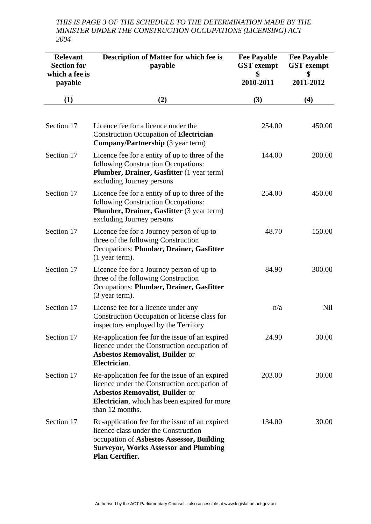*THIS IS PAGE 3 OF THE SCHEDULE TO THE DETERMINATION MADE BY THE MINISTER UNDER THE CONSTRUCTION OCCUPATIONS (LICENSING) ACT 2004* 

| <b>Relevant</b><br><b>Section for</b><br>which a fee is<br>payable | <b>Description of Matter for which fee is</b><br>payable                                                                                                                                                            | <b>Fee Payable</b><br><b>GST</b> exempt<br>\$<br>2010-2011 | <b>Fee Payable</b><br><b>GST</b> exempt<br>\$<br>2011-2012 |
|--------------------------------------------------------------------|---------------------------------------------------------------------------------------------------------------------------------------------------------------------------------------------------------------------|------------------------------------------------------------|------------------------------------------------------------|
| (1)                                                                | (2)                                                                                                                                                                                                                 | (3)                                                        | (4)                                                        |
| Section 17                                                         | Licence fee for a licence under the<br><b>Construction Occupation of Electrician</b><br><b>Company/Partnership</b> (3 year term)                                                                                    | 254.00                                                     | 450.00                                                     |
| Section 17                                                         | Licence fee for a entity of up to three of the<br>following Construction Occupations:<br>Plumber, Drainer, Gasfitter (1 year term)<br>excluding Journey persons                                                     | 144.00                                                     | 200.00                                                     |
| Section 17                                                         | Licence fee for a entity of up to three of the<br>following Construction Occupations:<br>Plumber, Drainer, Gasfitter (3 year term)<br>excluding Journey persons                                                     | 254.00                                                     | 450.00                                                     |
| Section 17                                                         | Licence fee for a Journey person of up to<br>three of the following Construction<br>Occupations: Plumber, Drainer, Gasfitter<br>$(1$ year term).                                                                    | 48.70                                                      | 150.00                                                     |
| Section 17                                                         | Licence fee for a Journey person of up to<br>three of the following Construction<br>Occupations: Plumber, Drainer, Gasfitter<br>(3 year term).                                                                      | 84.90                                                      | 300.00                                                     |
| Section 17                                                         | License fee for a licence under any<br>Construction Occupation or license class for<br>inspectors employed by the Territory                                                                                         | n/a                                                        | Nil                                                        |
| Section 17                                                         | Re-application fee for the issue of an expired<br>licence under the Construction occupation of<br><b>Asbestos Removalist, Builder or</b><br>Electrician.                                                            | 24.90                                                      | 30.00                                                      |
| Section 17                                                         | Re-application fee for the issue of an expired<br>licence under the Construction occupation of<br><b>Asbestos Removalist, Builder or</b><br><b>Electrician</b> , which has been expired for more<br>than 12 months. | 203.00                                                     | 30.00                                                      |
| Section 17                                                         | Re-application fee for the issue of an expired<br>licence class under the Construction<br>occupation of Asbestos Assessor, Building<br><b>Surveyor, Works Assessor and Plumbing</b><br><b>Plan Certifier.</b>       | 134.00                                                     | 30.00                                                      |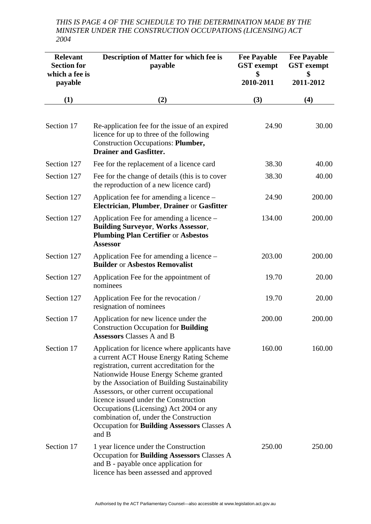*THIS IS PAGE 4 OF THE SCHEDULE TO THE DETERMINATION MADE BY THE MINISTER UNDER THE CONSTRUCTION OCCUPATIONS (LICENSING) ACT 2004* 

| <b>Relevant</b><br><b>Section for</b><br>which a fee is<br>payable | <b>Description of Matter for which fee is</b><br>payable                                                                                                                                                                                                                                                                                                                                                                                                                     | <b>Fee Payable</b><br><b>GST</b> exempt<br>\$<br>2010-2011 | <b>Fee Payable</b><br><b>GST</b> exempt<br>\$<br>2011-2012 |
|--------------------------------------------------------------------|------------------------------------------------------------------------------------------------------------------------------------------------------------------------------------------------------------------------------------------------------------------------------------------------------------------------------------------------------------------------------------------------------------------------------------------------------------------------------|------------------------------------------------------------|------------------------------------------------------------|
| (1)                                                                | (2)                                                                                                                                                                                                                                                                                                                                                                                                                                                                          | (3)                                                        | (4)                                                        |
| Section 17                                                         | Re-application fee for the issue of an expired<br>licence for up to three of the following<br><b>Construction Occupations: Plumber,</b><br><b>Drainer and Gasfitter.</b>                                                                                                                                                                                                                                                                                                     | 24.90                                                      | 30.00                                                      |
| Section 127                                                        | Fee for the replacement of a licence card                                                                                                                                                                                                                                                                                                                                                                                                                                    | 38.30                                                      | 40.00                                                      |
| Section 127                                                        | Fee for the change of details (this is to cover<br>the reproduction of a new licence card)                                                                                                                                                                                                                                                                                                                                                                                   | 38.30                                                      | 40.00                                                      |
| Section 127                                                        | Application fee for amending a licence –<br>Electrician, Plumber, Drainer or Gasfitter                                                                                                                                                                                                                                                                                                                                                                                       | 24.90                                                      | 200.00                                                     |
| Section 127                                                        | Application Fee for amending a licence –<br><b>Building Surveyor, Works Assessor,</b><br><b>Plumbing Plan Certifier or Asbestos</b><br><b>Assessor</b>                                                                                                                                                                                                                                                                                                                       | 134.00                                                     | 200.00                                                     |
| Section 127                                                        | Application Fee for amending a licence –<br><b>Builder or Asbestos Removalist</b>                                                                                                                                                                                                                                                                                                                                                                                            | 203.00                                                     | 200.00                                                     |
| Section 127                                                        | Application Fee for the appointment of<br>nominees                                                                                                                                                                                                                                                                                                                                                                                                                           | 19.70                                                      | 20.00                                                      |
| Section 127                                                        | Application Fee for the revocation /<br>resignation of nominees                                                                                                                                                                                                                                                                                                                                                                                                              | 19.70                                                      | 20.00                                                      |
| Section 17                                                         | Application for new licence under the<br><b>Construction Occupation for Building</b><br><b>Assessors Classes A and B</b>                                                                                                                                                                                                                                                                                                                                                     | 200.00                                                     | 200.00                                                     |
| Section 17                                                         | Application for licence where applicants have<br>a current ACT House Energy Rating Scheme<br>registration, current accreditation for the<br>Nationwide House Energy Scheme granted<br>by the Association of Building Sustainability<br>Assessors, or other current occupational<br>licence issued under the Construction<br>Occupations (Licensing) Act 2004 or any<br>combination of, under the Construction<br>Occupation for <b>Building Assessors</b> Classes A<br>and B | 160.00                                                     | 160.00                                                     |
| Section 17                                                         | 1 year licence under the Construction<br>Occupation for <b>Building Assessors</b> Classes A<br>and B - payable once application for<br>licence has been assessed and approved                                                                                                                                                                                                                                                                                                | 250.00                                                     | 250.00                                                     |